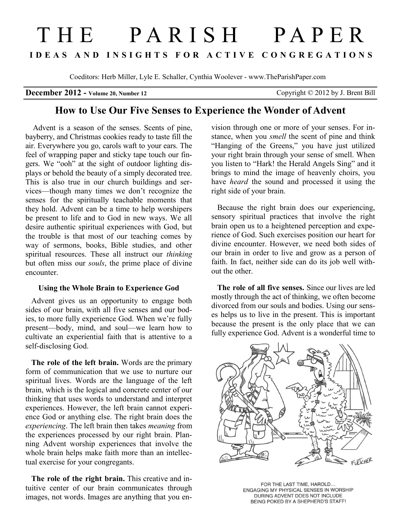# THE PARISH PAPER **I D E A S A N D I N S I G H T S F O R A C T I V E C O N G R E G A T I O N S**

Coeditors: Herb Miller, Lyle E. Schaller, Cynthia Woolever - www.TheParishPaper.com

### **December 2012 - Volume 20, Number 12** Copyright © 2012 by J. Brent Bill

# **How to Use Our Five Senses to Experience the Wonder of Advent**

 Advent is a season of the senses. Scents of pine, bayberry, and Christmas cookies ready to taste fill the air. Everywhere you go, carols waft to your ears. The feel of wrapping paper and sticky tape touch our fingers. We "ooh" at the sight of outdoor lighting displays or behold the beauty of a simply decorated tree. This is also true in our church buildings and services—though many times we don't recognize the senses for the spiritually teachable moments that they hold. Advent can be a time to help worshipers be present to life and to God in new ways. We all desire authentic spiritual experiences with God, but the trouble is that most of our teaching comes by way of sermons, books, Bible studies, and other spiritual resources. These all instruct our *thinking* but often miss our *souls*, the prime place of divine encounter.

#### **Using the Whole Brain to Experience God**

Advent gives us an opportunity to engage both sides of our brain, with all five senses and our bodies, to more fully experience God. When we're fully present—body, mind, and soul—we learn how to cultivate an experiential faith that is attentive to a self-disclosing God.

 **The role of the left brain.** Words are the primary form of communication that we use to nurture our spiritual lives. Words are the language of the left brain, which is the logical and concrete center of our thinking that uses words to understand and interpret experiences. However, the left brain cannot experience God or anything else. The right brain does the *experiencing*. The left brain then takes *meaning* from the experiences processed by our right brain. Planning Advent worship experiences that involve the whole brain helps make faith more than an intellectual exercise for your congregants.

 **The role of the right brain.** This creative and intuitive center of our brain communicates through images, not words. Images are anything that you en-

vision through one or more of your senses. For instance, when you *smell* the scent of pine and think "Hanging of the Greens," you have just utilized your right brain through your sense of smell. When you listen to "Hark! the Herald Angels Sing" and it brings to mind the image of heavenly choirs, you have *heard* the sound and processed it using the right side of your brain.

 Because the right brain does our experiencing, sensory spiritual practices that involve the right brain open us to a heightened perception and experience of God. Such exercises position our heart for divine encounter. However, we need both sides of our brain in order to live and grow as a person of faith. In fact, neither side can do its job well without the other.

 **The role of all five senses.** Since our lives are led mostly through the act of thinking, we often become divorced from our souls and bodies. Using our senses helps us to live in the present. This is important because the present is the only place that we can fully experience God. Advent is a wonderful time to



FOR THE LAST TIME, HAROLD... ENGAGING MY PHYSICAL SENSES IN WORSHIP DURING ADVENT DOES NOT INCLUDE BEING POKED BY A SHEPHERD'S STAFF!